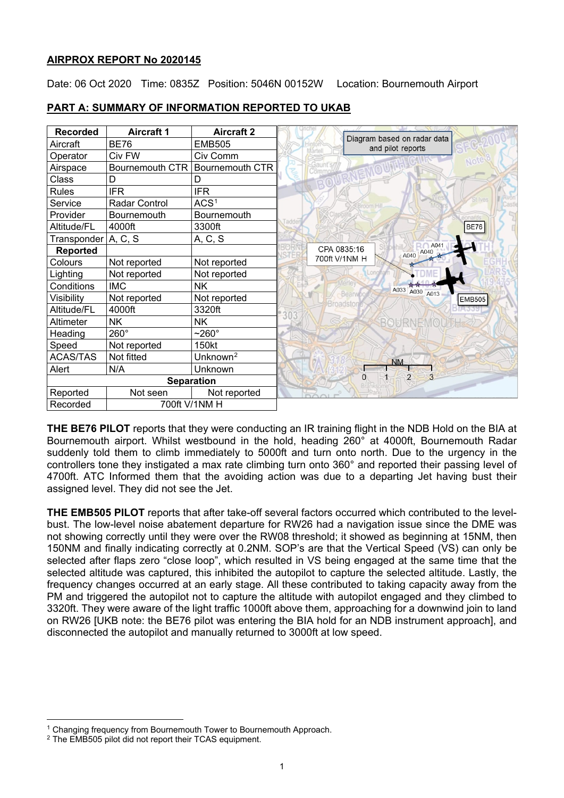### **AIRPROX REPORT No 2020145**

Date: 06 Oct 2020 Time: 0835Z Position: 5046N 00152W Location: Bournemouth Airport

| <b>Recorded</b>   | <b>Aircraft 1</b>      | <b>Aircraft 2</b>      |                                                  |
|-------------------|------------------------|------------------------|--------------------------------------------------|
| Aircraft          | <b>BE76</b>            | <b>EMB505</b>          | Diagram based on radar data<br>and pilot reports |
| Operator          | Civ FW                 | Civ Comm               |                                                  |
| Airspace          | <b>Bournemouth CTR</b> | <b>Bournemouth CTR</b> |                                                  |
| Class             | D                      | D                      |                                                  |
| Rules             | <b>IFR</b>             | <b>IFR</b>             |                                                  |
| Service           | Radar Control          | ACS <sup>1</sup>       |                                                  |
| Provider          | Bournemouth            | Bournemouth            |                                                  |
| Altitude/FL       | 4000ft                 | 3300ft                 | <b>BE76</b>                                      |
| Transponder       | A, C, S                | A, C, S                |                                                  |
| <b>Reported</b>   |                        |                        | A041<br>CPA 0835:16<br>A040<br>A040              |
| Colours           | Not reported           | Not reported           | 700ft V/1NM H                                    |
| Lighting          | Not reported           | Not reported           |                                                  |
| Conditions        | <b>IMC</b>             | <b>NK</b>              | $\overline{M}$<br>A033<br>A030 A013              |
| Visibility        | Not reported           | Not reported           | Bearwog<br>EMB505<br>Broadsto                    |
| Altitude/FL       | 4000ft                 | 3320ft                 | 303                                              |
| Altimeter         | <b>NK</b>              | <b>NK</b>              | BOURNEM                                          |
| Heading           | $260^\circ$            | $~260^\circ$           |                                                  |
| Speed             | Not reported           | 150kt                  |                                                  |
| <b>ACAS/TAS</b>   | Not fitted             | Unknown <sup>2</sup>   | <b>NM</b>                                        |
| Alert             | N/A                    | Unknown                |                                                  |
| <b>Separation</b> |                        |                        | $\overline{2}$<br>$\overline{0}$                 |
| Reported          | Not seen               | Not reported           |                                                  |
| Recorded          | 700ft V/1NM H          |                        |                                                  |

## **PART A: SUMMARY OF INFORMATION REPORTED TO UKAB**

**THE BE76 PILOT** reports that they were conducting an IR training flight in the NDB Hold on the BIA at Bournemouth airport. Whilst westbound in the hold, heading 260° at 4000ft, Bournemouth Radar suddenly told them to climb immediately to 5000ft and turn onto north. Due to the urgency in the controllers tone they instigated a max rate climbing turn onto 360° and reported their passing level of 4700ft. ATC Informed them that the avoiding action was due to a departing Jet having bust their assigned level. They did not see the Jet.

**THE EMB505 PILOT** reports that after take-off several factors occurred which contributed to the levelbust. The low-level noise abatement departure for RW26 had a navigation issue since the DME was not showing correctly until they were over the RW08 threshold; it showed as beginning at 15NM, then 150NM and finally indicating correctly at 0.2NM. SOP's are that the Vertical Speed (VS) can only be selected after flaps zero "close loop", which resulted in VS being engaged at the same time that the selected altitude was captured, this inhibited the autopilot to capture the selected altitude. Lastly, the frequency changes occurred at an early stage. All these contributed to taking capacity away from the PM and triggered the autopilot not to capture the altitude with autopilot engaged and they climbed to 3320ft. They were aware of the light traffic 1000ft above them, approaching for a downwind join to land on RW26 [UKB note: the BE76 pilot was entering the BIA hold for an NDB instrument approach], and disconnected the autopilot and manually returned to 3000ft at low speed.

<span id="page-0-0"></span><sup>&</sup>lt;sup>1</sup> Changing frequency from Bournemouth Tower to Bournemouth Approach.

<span id="page-0-1"></span><sup>2</sup> The EMB505 pilot did not report their TCAS equipment.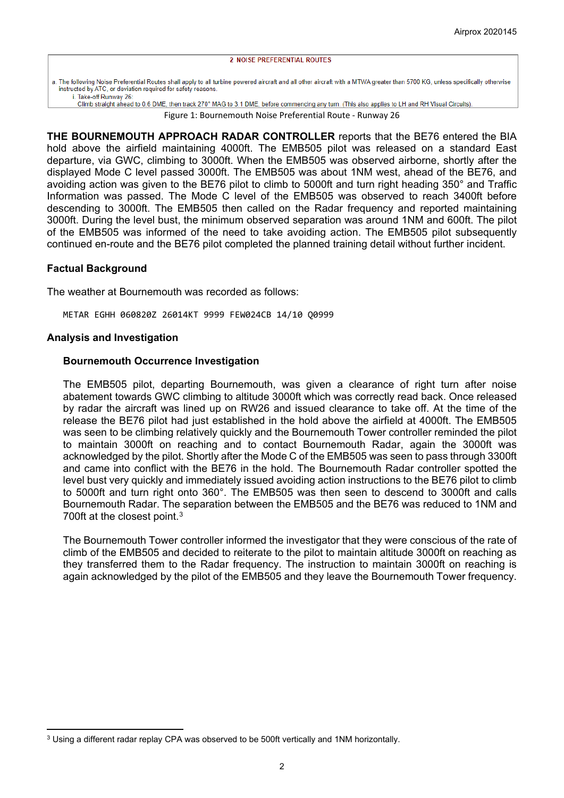#### 2 NOISE PREFERENTIAL ROUTES

a. The following Noise Preferential Routes shall apply to all turbine powered aircraft and all other aircraft with a MTWA greater than 5700 KG, unless specifically otherwise instructed by ATC, or deviation required for safety reasons i. Take-off Runway 26

Climb straight ahead to 0.6 DME, then track 270° MAG to 3.1 DME, before commencing any turn. (This also applies to LH and RH Visual Circuits) Figure 1: Bournemouth Noise Preferential Route - Runway 26

**THE BOURNEMOUTH APPROACH RADAR CONTROLLER** reports that the BE76 entered the BIA hold above the airfield maintaining 4000ft. The EMB505 pilot was released on a standard East departure, via GWC, climbing to 3000ft. When the EMB505 was observed airborne, shortly after the displayed Mode C level passed 3000ft. The EMB505 was about 1NM west, ahead of the BE76, and avoiding action was given to the BE76 pilot to climb to 5000ft and turn right heading 350° and Traffic Information was passed. The Mode C level of the EMB505 was observed to reach 3400ft before descending to 3000ft. The EMB505 then called on the Radar frequency and reported maintaining 3000ft. During the level bust, the minimum observed separation was around 1NM and 600ft. The pilot of the EMB505 was informed of the need to take avoiding action. The EMB505 pilot subsequently continued en-route and the BE76 pilot completed the planned training detail without further incident.

#### **Factual Background**

The weather at Bournemouth was recorded as follows:

METAR EGHH 060820Z 26014KT 9999 FEW024CB 14/10 Q0999

#### **Analysis and Investigation**

#### **Bournemouth Occurrence Investigation**

The EMB505 pilot, departing Bournemouth, was given a clearance of right turn after noise abatement towards GWC climbing to altitude 3000ft which was correctly read back. Once released by radar the aircraft was lined up on RW26 and issued clearance to take off. At the time of the release the BE76 pilot had just established in the hold above the airfield at 4000ft. The EMB505 was seen to be climbing relatively quickly and the Bournemouth Tower controller reminded the pilot to maintain 3000ft on reaching and to contact Bournemouth Radar, again the 3000ft was acknowledged by the pilot. Shortly after the Mode C of the EMB505 was seen to pass through 3300ft and came into conflict with the BE76 in the hold. The Bournemouth Radar controller spotted the level bust very quickly and immediately issued avoiding action instructions to the BE76 pilot to climb to 5000ft and turn right onto 360°. The EMB505 was then seen to descend to 3000ft and calls Bournemouth Radar. The separation between the EMB505 and the BE76 was reduced to 1NM and 700ft at the closest point.<sup>[3](#page-1-0)</sup>

The Bournemouth Tower controller informed the investigator that they were conscious of the rate of climb of the EMB505 and decided to reiterate to the pilot to maintain altitude 3000ft on reaching as they transferred them to the Radar frequency. The instruction to maintain 3000ft on reaching is again acknowledged by the pilot of the EMB505 and they leave the Bournemouth Tower frequency.

<span id="page-1-0"></span><sup>&</sup>lt;sup>3</sup> Using a different radar replay CPA was observed to be 500ft vertically and 1NM horizontally.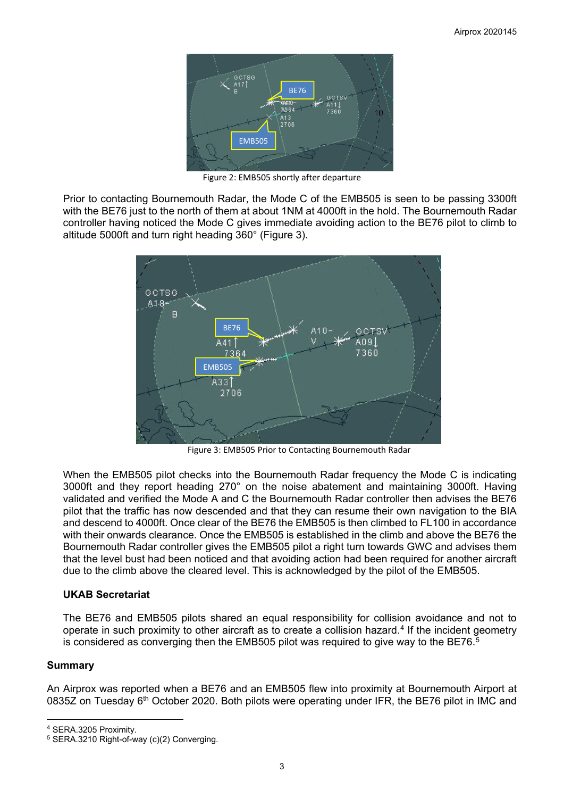

Figure 2: EMB505 shortly after departure

Prior to contacting Bournemouth Radar, the Mode C of the EMB505 is seen to be passing 3300ft with the BE76 just to the north of them at about 1NM at 4000ft in the hold. The Bournemouth Radar controller having noticed the Mode C gives immediate avoiding action to the BE76 pilot to climb to altitude 5000ft and turn right heading 360° (Figure 3).



Figure 3: EMB505 Prior to Contacting Bournemouth Radar

When the EMB505 pilot checks into the Bournemouth Radar frequency the Mode C is indicating 3000ft and they report heading 270° on the noise abatement and maintaining 3000ft. Having validated and verified the Mode A and C the Bournemouth Radar controller then advises the BE76 pilot that the traffic has now descended and that they can resume their own navigation to the BIA and descend to 4000ft. Once clear of the BE76 the EMB505 is then climbed to FL100 in accordance with their onwards clearance. Once the EMB505 is established in the climb and above the BE76 the Bournemouth Radar controller gives the EMB505 pilot a right turn towards GWC and advises them that the level bust had been noticed and that avoiding action had been required for another aircraft due to the climb above the cleared level. This is acknowledged by the pilot of the EMB505.

### **UKAB Secretariat**

The BE76 and EMB505 pilots shared an equal responsibility for collision avoidance and not to operate in such proximity to other aircraft as to create a collision hazard.[4](#page-2-0) If the incident geometry is considered as converging then the EMB[5](#page-2-1)05 pilot was required to give way to the BE76.<sup>5</sup>

### **Summary**

An Airprox was reported when a BE76 and an EMB505 flew into proximity at Bournemouth Airport at 0835Z on Tuesday 6<sup>th</sup> October 2020. Both pilots were operating under IFR, the BE76 pilot in IMC and

<span id="page-2-0"></span><sup>4</sup> SERA.3205 Proximity.

<span id="page-2-1"></span><sup>5</sup> SERA.3210 Right-of-way (c)(2) Converging.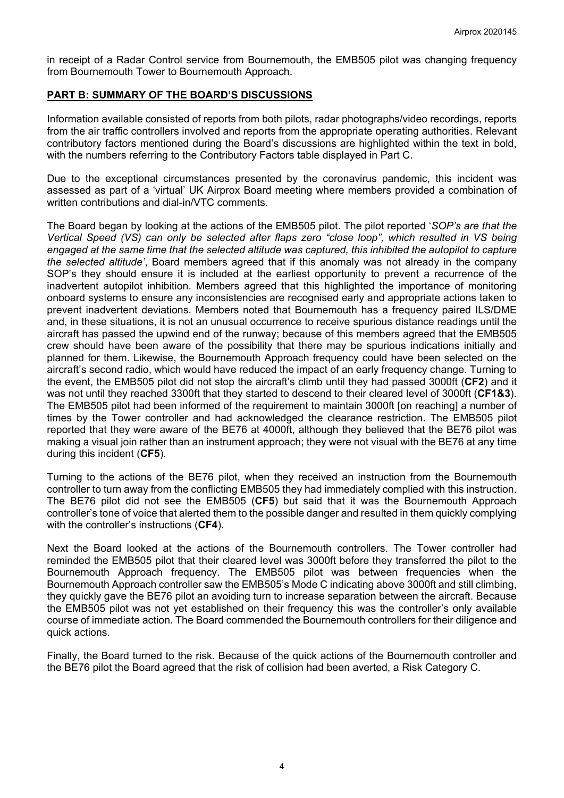in receipt of a Radar Control service from Bournemouth, the EMB505 pilot was changing frequency from Bournemouth Tower to Bournemouth Approach.

### **PART B: SUMMARY OF THE BOARD'S DISCUSSIONS**

Information available consisted of reports from both pilots, radar photographs/video recordings, reports from the air traffic controllers involved and reports from the appropriate operating authorities. Relevant contributory factors mentioned during the Board's discussions are highlighted within the text in bold, with the numbers referring to the Contributory Factors table displayed in Part C.

Due to the exceptional circumstances presented by the coronavirus pandemic, this incident was assessed as part of a 'virtual' UK Airprox Board meeting where members provided a combination of written contributions and dial-in/VTC comments.

The Board began by looking at the actions of the EMB505 pilot. The pilot reported '*SOP's are that the Vertical Speed (VS) can only be selected after flaps zero "close loop", which resulted in VS being engaged at the same time that the selected altitude was captured, this inhibited the autopilot to capture the selected altitude'*, Board members agreed that if this anomaly was not already in the company SOP's they should ensure it is included at the earliest opportunity to prevent a recurrence of the inadvertent autopilot inhibition. Members agreed that this highlighted the importance of monitoring onboard systems to ensure any inconsistencies are recognised early and appropriate actions taken to prevent inadvertent deviations. Members noted that Bournemouth has a frequency paired ILS/DME and, in these situations, it is not an unusual occurrence to receive spurious distance readings until the aircraft has passed the upwind end of the runway; because of this members agreed that the EMB505 crew should have been aware of the possibility that there may be spurious indications initially and planned for them. Likewise, the Bournemouth Approach frequency could have been selected on the aircraft's second radio, which would have reduced the impact of an early frequency change. Turning to the event, the EMB505 pilot did not stop the aircraft's climb until they had passed 3000ft (**CF2**) and it was not until they reached 3300ft that they started to descend to their cleared level of 3000ft (**CF1&3**). The EMB505 pilot had been informed of the requirement to maintain 3000ft [on reaching] a number of times by the Tower controller and had acknowledged the clearance restriction. The EMB505 pilot reported that they were aware of the BE76 at 4000ft, although they believed that the BE76 pilot was making a visual join rather than an instrument approach; they were not visual with the BE76 at any time during this incident (**CF5**).

Turning to the actions of the BE76 pilot, when they received an instruction from the Bournemouth controller to turn away from the conflicting EMB505 they had immediately complied with this instruction. The BE76 pilot did not see the EMB505 (**CF5**) but said that it was the Bournemouth Approach controller's tone of voice that alerted them to the possible danger and resulted in them quickly complying with the controller's instructions (**CF4**).

Next the Board looked at the actions of the Bournemouth controllers. The Tower controller had reminded the EMB505 pilot that their cleared level was 3000ft before they transferred the pilot to the Bournemouth Approach frequency. The EMB505 pilot was between frequencies when the Bournemouth Approach controller saw the EMB505's Mode C indicating above 3000ft and still climbing, they quickly gave the BE76 pilot an avoiding turn to increase separation between the aircraft. Because the EMB505 pilot was not yet established on their frequency this was the controller's only available course of immediate action. The Board commended the Bournemouth controllers for their diligence and quick actions.

Finally, the Board turned to the risk. Because of the quick actions of the Bournemouth controller and the BE76 pilot the Board agreed that the risk of collision had been averted, a Risk Category C.